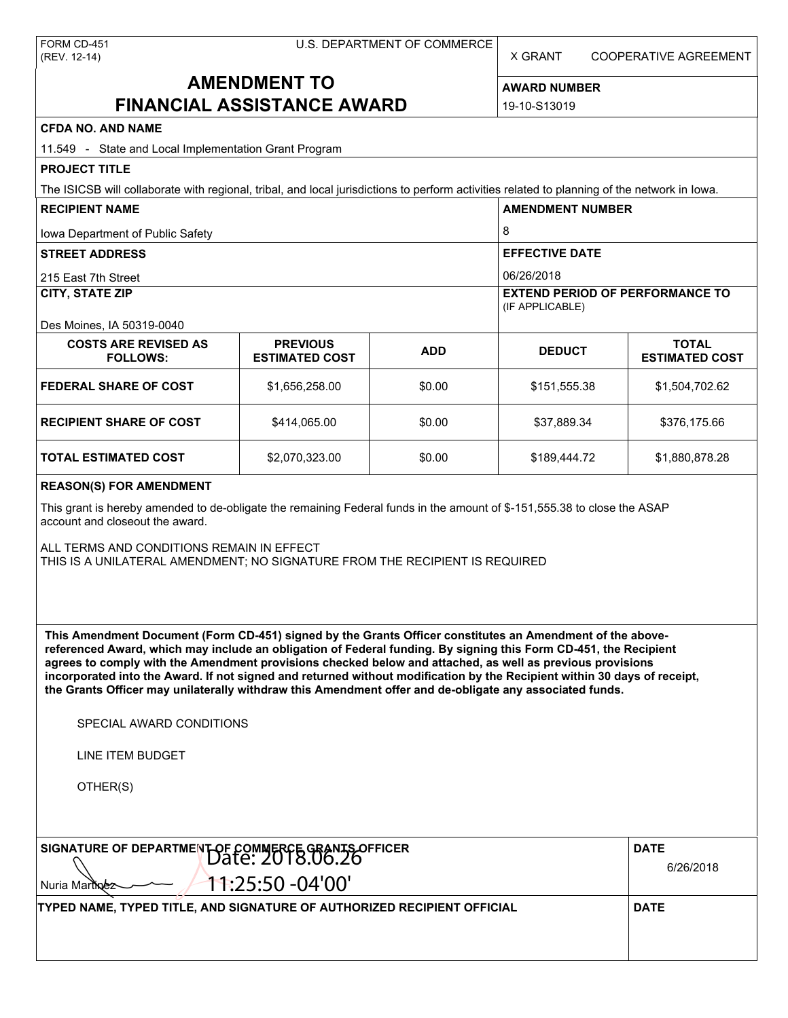X GRANT COOPERATIVE AGREEMENT

# **AMENDMENT TO FINANCIAL ASSISTANCE AWARD**

**AWARD NUMBER** 19-10-S13019

| <b>CFDA NO. AND NAME</b>                                                                                                                                                                                                                                                                                                                                                                                                                                                                                                                                                          |                                          |            |                                                           |                                       |  |  |  |
|-----------------------------------------------------------------------------------------------------------------------------------------------------------------------------------------------------------------------------------------------------------------------------------------------------------------------------------------------------------------------------------------------------------------------------------------------------------------------------------------------------------------------------------------------------------------------------------|------------------------------------------|------------|-----------------------------------------------------------|---------------------------------------|--|--|--|
| 11.549 - State and Local Implementation Grant Program                                                                                                                                                                                                                                                                                                                                                                                                                                                                                                                             |                                          |            |                                                           |                                       |  |  |  |
| <b>PROJECT TITLE</b>                                                                                                                                                                                                                                                                                                                                                                                                                                                                                                                                                              |                                          |            |                                                           |                                       |  |  |  |
| The ISICSB will collaborate with regional, tribal, and local jurisdictions to perform activities related to planning of the network in lowa.                                                                                                                                                                                                                                                                                                                                                                                                                                      |                                          |            |                                                           |                                       |  |  |  |
| <b>RECIPIENT NAME</b>                                                                                                                                                                                                                                                                                                                                                                                                                                                                                                                                                             |                                          |            | <b>AMENDMENT NUMBER</b>                                   |                                       |  |  |  |
| Iowa Department of Public Safety                                                                                                                                                                                                                                                                                                                                                                                                                                                                                                                                                  |                                          |            | 8                                                         |                                       |  |  |  |
| <b>STREET ADDRESS</b>                                                                                                                                                                                                                                                                                                                                                                                                                                                                                                                                                             |                                          |            | <b>EFFECTIVE DATE</b>                                     |                                       |  |  |  |
| 215 East 7th Street                                                                                                                                                                                                                                                                                                                                                                                                                                                                                                                                                               |                                          |            | 06/26/2018                                                |                                       |  |  |  |
| <b>CITY, STATE ZIP</b>                                                                                                                                                                                                                                                                                                                                                                                                                                                                                                                                                            |                                          |            | <b>EXTEND PERIOD OF PERFORMANCE TO</b><br>(IF APPLICABLE) |                                       |  |  |  |
| Des Moines, IA 50319-0040                                                                                                                                                                                                                                                                                                                                                                                                                                                                                                                                                         |                                          |            |                                                           |                                       |  |  |  |
| <b>COSTS ARE REVISED AS</b><br><b>FOLLOWS:</b>                                                                                                                                                                                                                                                                                                                                                                                                                                                                                                                                    | <b>PREVIOUS</b><br><b>ESTIMATED COST</b> | <b>ADD</b> | <b>DEDUCT</b>                                             | <b>TOTAL</b><br><b>ESTIMATED COST</b> |  |  |  |
| <b>FEDERAL SHARE OF COST</b>                                                                                                                                                                                                                                                                                                                                                                                                                                                                                                                                                      | \$1,656,258.00                           | \$0.00     | \$151,555.38                                              | \$1,504,702.62                        |  |  |  |
| <b>RECIPIENT SHARE OF COST</b>                                                                                                                                                                                                                                                                                                                                                                                                                                                                                                                                                    | \$414,065.00                             | \$0.00     | \$37,889.34                                               | \$376,175.66                          |  |  |  |
| <b>TOTAL ESTIMATED COST</b>                                                                                                                                                                                                                                                                                                                                                                                                                                                                                                                                                       | \$2,070,323.00                           | \$0.00     | \$189,444.72                                              | \$1,880,878.28                        |  |  |  |
| <b>REASON(S) FOR AMENDMENT</b>                                                                                                                                                                                                                                                                                                                                                                                                                                                                                                                                                    |                                          |            |                                                           |                                       |  |  |  |
| This grant is hereby amended to de-obligate the remaining Federal funds in the amount of \$-151,555.38 to close the ASAP<br>account and closeout the award.                                                                                                                                                                                                                                                                                                                                                                                                                       |                                          |            |                                                           |                                       |  |  |  |
| ALL TERMS AND CONDITIONS REMAIN IN EFFECT<br>THIS IS A UNILATERAL AMENDMENT; NO SIGNATURE FROM THE RECIPIENT IS REQUIRED                                                                                                                                                                                                                                                                                                                                                                                                                                                          |                                          |            |                                                           |                                       |  |  |  |
| This Amendment Document (Form CD-451) signed by the Grants Officer constitutes an Amendment of the above-<br>referenced Award, which may include an obligation of Federal funding. By signing this Form CD-451, the Recipient<br>agrees to comply with the Amendment provisions checked below and attached, as well as previous provisions<br>incorporated into the Award. If not signed and returned without modification by the Recipient within 30 days of receipt,<br>the Grants Officer may unilaterally withdraw this Amendment offer and de-obligate any associated funds. |                                          |            |                                                           |                                       |  |  |  |
| SPECIAL AWARD CONDITIONS                                                                                                                                                                                                                                                                                                                                                                                                                                                                                                                                                          |                                          |            |                                                           |                                       |  |  |  |
| <b>LINE ITEM BUDGET</b>                                                                                                                                                                                                                                                                                                                                                                                                                                                                                                                                                           |                                          |            |                                                           |                                       |  |  |  |
| OTHER(S)                                                                                                                                                                                                                                                                                                                                                                                                                                                                                                                                                                          |                                          |            |                                                           |                                       |  |  |  |
| SIGNATURE OF DEPARTMENT OF COMMERCE GRANTS OFFICER                                                                                                                                                                                                                                                                                                                                                                                                                                                                                                                                | <b>DATE</b><br>6/26/2018                 |            |                                                           |                                       |  |  |  |
| 11:25:50 -04'00'<br>Nuria Martinez                                                                                                                                                                                                                                                                                                                                                                                                                                                                                                                                                |                                          |            |                                                           |                                       |  |  |  |

**TYPED NAME, TYPED TITLE, AND SIGNATURE OF AUTHORIZED RECIPIENT OFFICIAL DATE**